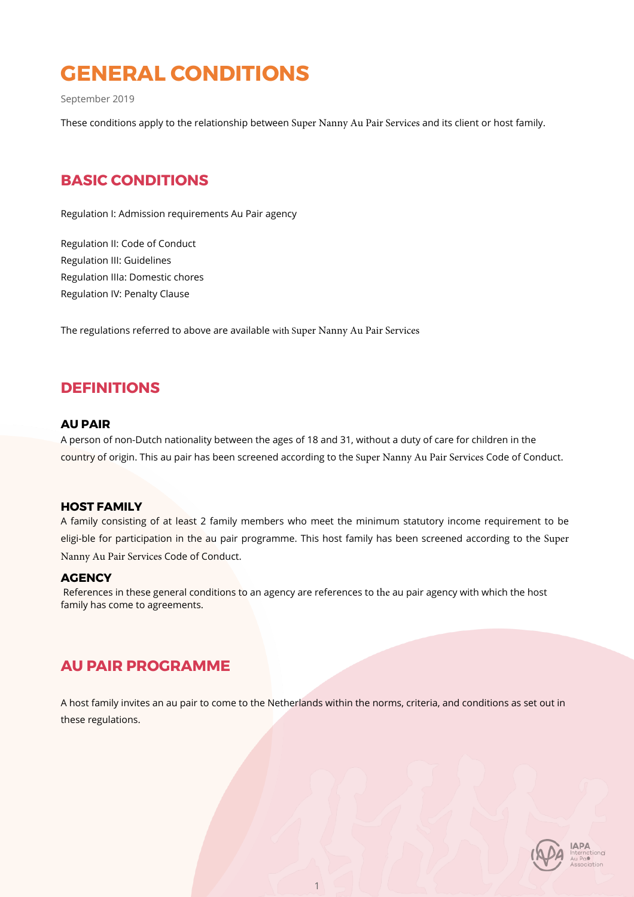# **GENERAL CONDITIONS**

September 2019

These conditions apply to the relationship between Super Nanny Au Pair Services and its client or host family.

## **BASIC CONDITIONS**

Regulation I: Admission requirements Au Pair agency

Regulation II: Code of Conduct Regulation III: Guidelines Regulation IIIa: Domestic chores Regulation IV: Penalty Clause

The regulations referred to above are available with Super Nanny Au Pair Services

## **DEFINITIONS**

### **AU PAIR**

A person of non-Dutch nationality between the ages of 18 and 31, without a duty of care for children in the country of origin. This au pair has been screened according to the Super Nanny Au Pair Services Code of Conduct.

### **HOST FAMILY**

A family consisting of at least 2 family members who meet the minimum statutory income requirement to be eligi-ble for participation in the au pair programme. This host family has been screened according to the Super Nanny Au Pair Services Code of Conduct.

### **AGENCY**

 References in these general conditions to an agency are references to the au pair agency with which the host family has come to agreements.

## **AU PAIR PROGRAMME**

A host family invites an au pair to come to the Netherlands within the norms, criteria, and conditions as set out in these regulations.

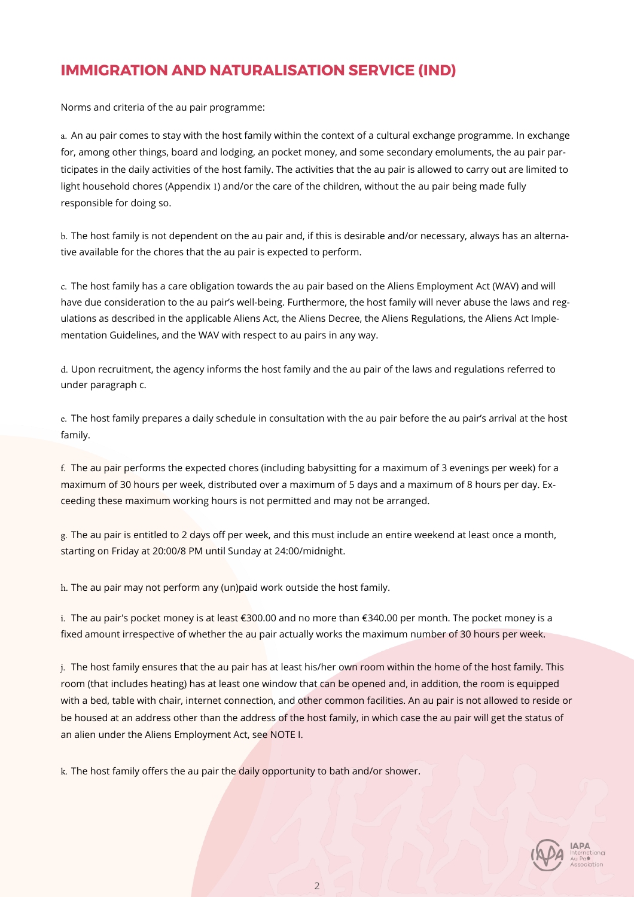## **IMMIGRATION AND NATURALISATION SERVICE (IND)**

Norms and criteria of the au pair programme:

a. An au pair comes to stay with the host family within the context of a cultural exchange programme. In exchange for, among other things, board and lodging, an pocket money, and some secondary emoluments, the au pair participates in the daily activities of the host family. The activities that the au pair is allowed to carry out are limited to light household chores (Appendix 1) and/or the care of the children, without the au pair being made fully responsible for doing so.

b. The host family is not dependent on the au pair and, if this is desirable and/or necessary, always has an alternative available for the chores that the au pair is expected to perform.

c. The host family has a care obligation towards the au pair based on the Aliens Employment Act (WAV) and will have due consideration to the au pair's well-being. Furthermore, the host family will never abuse the laws and regulations as described in the applicable Aliens Act, the Aliens Decree, the Aliens Regulations, the Aliens Act Implementation Guidelines, and the WAV with respect to au pairs in any way.

d. Upon recruitment, the agency informs the host family and the au pair of the laws and regulations referred to under paragraph c.

e. The host family prepares a daily schedule in consultation with the au pair before the au pair's arrival at the host family.

f. The au pair performs the expected chores (including babysitting for a maximum of 3 evenings per week) for a maximum of 30 hours per week, distributed over a maximum of 5 days and a maximum of 8 hours per day. Exceeding these maximum working hours is not permitted and may not be arranged.

g. The au pair is entitled to 2 days off per week, and this must include an entire weekend at least once a month, starting on Friday at 20:00/8 PM until Sunday at 24:00/midnight.

h. The au pair may not perform any (un)paid work outside the host family.

i. The au pair's pocket money is at least €300.00 and no more than €340.00 per month. The pocket money is a fixed amount irrespective of whether the au pair actually works the maximum number of 30 hours per week.

j. The host family ensures that the au pair has at least his/her own room within the home of the host family. This room (that includes heating) has at least one window that can be opened and, in addition, the room is equipped with a bed, table with chair, internet connection, and other common facilities. An au pair is not allowed to reside or be housed at an address other than the address of the host family, in which case the au pair will get the status of an alien under the Aliens Employment Act, see NOTE I.

k. The host family offers the au pair the daily opportunity to bath and/or shower.

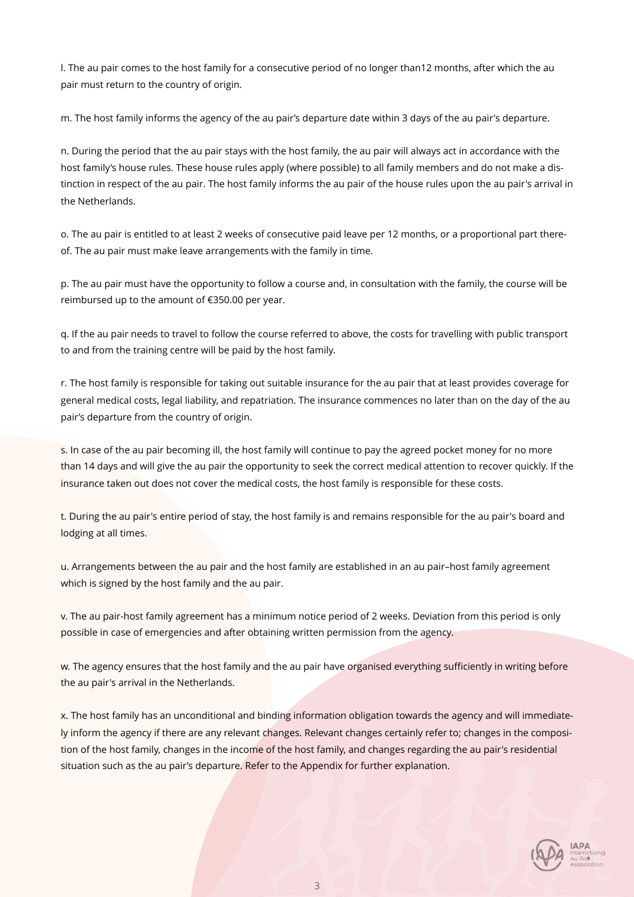l. The au pair comes to the host family for a consecutive period of no longer than12 months, after which the au pair must return to the country of origin.

m. The host family informs the agency of the au pair's departure date within 3 days of the au pair's departure.

n. During the period that the au pair stays with the host family, the au pair will always act in accordance with the host family's house rules. These house rules apply (where possible) to all family members and do not make a distinction in respect of the au pair. The host family informs the au pair of the house rules upon the au pair's arrival in the Netherlands.

o. The au pair is entitled to at least 2 weeks of consecutive paid leave per 12 months, or a proportional part thereof. The au pair must make leave arrangements with the family in time.

p. The au pair must have the opportunity to follow a course and, in consultation with the family, the course will be reimbursed up to the amount of €350.00 per year.

q. If the au pair needs to travel to follow the course referred to above, the costs for travelling with public transport to and from the training centre will be paid by the host family.

r. The host family is responsible for taking out suitable insurance for the au pair that at least provides coverage for general medical costs, legal liability, and repatriation. The insurance commences no later than on the day of the au pair's departure from the country of origin.

s. In case of the au pair becoming ill, the host family will continue to pay the agreed pocket money for no more than 14 days and will give the au pair the opportunity to seek the correct medical attention to recover quickly. If the insurance taken out does not cover the medical costs, the host family is responsible for these costs.

t. During the au pair's entire period of stay, the host family is and remains responsible for the au pair's board and lodging at all times.

u. Arrangements between the au pair and the host family are established in an au pair–host family agreement which is signed by the host family and the au pair.

v. The au pair-host family agreement has a minimum notice period of 2 weeks. Deviation from this period is only possible in case of emergencies and after obtaining written permission from the agency.

w. The agency ensures that the host family and the au pair have organised everything sufficiently in writing before the au pair's arrival in the Netherlands.

x. The host family has an unconditional and binding information obligation towards the agency and will immediately inform the agency if there are any relevant changes. Relevant changes certainly refer to; changes in the composition of the host family, changes in the income of the host family, and changes regarding the au pair's residential situation such as the au pair's departure. Refer to the Appendix for further explanation.

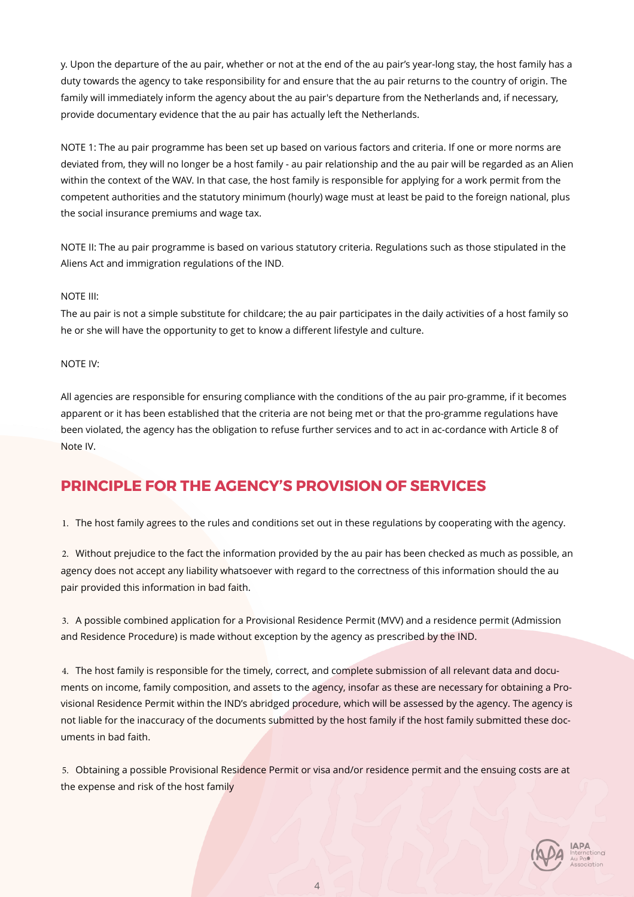y. Upon the departure of the au pair, whether or not at the end of the au pair's year-long stay, the host family has a duty towards the agency to take responsibility for and ensure that the au pair returns to the country of origin. The family will immediately inform the agency about the au pair's departure from the Netherlands and, if necessary, provide documentary evidence that the au pair has actually left the Netherlands.

NOTE 1: The au pair programme has been set up based on various factors and criteria. If one or more norms are deviated from, they will no longer be a host family - au pair relationship and the au pair will be regarded as an Alien within the context of the WAV. In that case, the host family is responsible for applying for a work permit from the competent authorities and the statutory minimum (hourly) wage must at least be paid to the foreign national, plus the social insurance premiums and wage tax.

NOTE II: The au pair programme is based on various statutory criteria. Regulations such as those stipulated in the Aliens Act and immigration regulations of the IND.

#### NOTE III:

The au pair is not a simple substitute for childcare; the au pair participates in the daily activities of a host family so he or she will have the opportunity to get to know a different lifestyle and culture.

### NOTE IV:

All agencies are responsible for ensuring compliance with the conditions of the au pair pro-gramme, if it becomes apparent or it has been established that the criteria are not being met or that the pro-gramme regulations have been violated, the agency has the obligation to refuse further services and to act in ac-cordance with Article 8 of Note IV.

## **PRINCIPLE FOR THE AGENCY'S PROVISION OF SERVICES**

1. The host family agrees to the rules and conditions set out in these regulations by cooperating with the agency.

2. Without prejudice to the fact the information provided by the au pair has been checked as much as possible, an agency does not accept any liability whatsoever with regard to the correctness of this information should the au pair provided this information in bad faith.

3. A possible combined application for a Provisional Residence Permit (MVV) and a residence permit (Admission and Residence Procedure) is made without exception by the agency as prescribed by the IND.

4. The host family is responsible for the timely, correct, and complete submission of all relevant data and documents on income, family composition, and assets to the agency, insofar as these are necessary for obtaining a Provisional Residence Permit within the IND's abridged procedure, which will be assessed by the agency. The agency is not liable for the inaccuracy of the documents submitted by the host family if the host family submitted these documents in bad faith.

5. Obtaining a possible Provisional Residence Permit or visa and/or residence permit and the ensuing costs are at the expense and risk of the host family

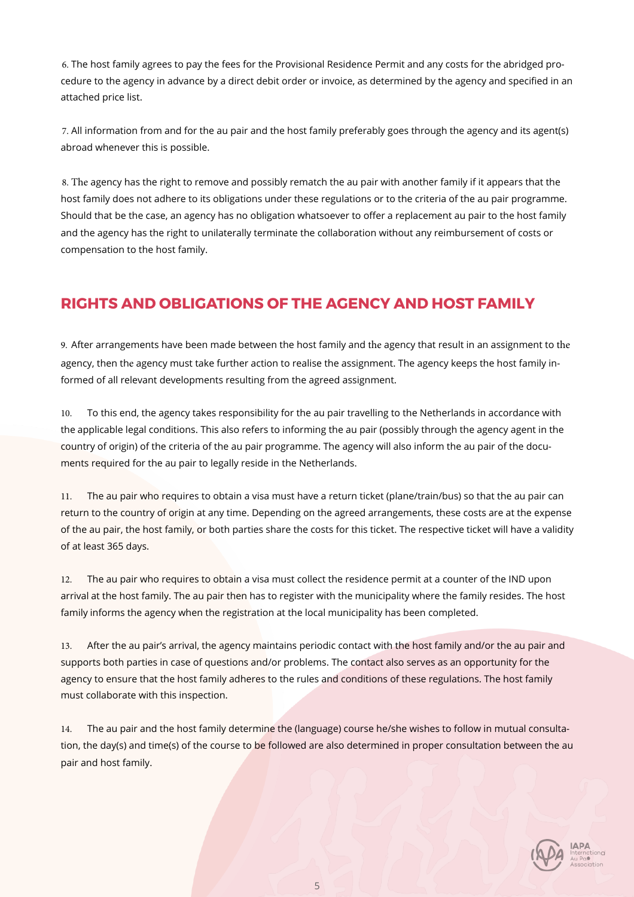6. The host family agrees to pay the fees for the Provisional Residence Permit and any costs for the abridged procedure to the agency in advance by a direct debit order or invoice, as determined by the agency and specified in an attached price list.

7. All information from and for the au pair and the host family preferably goes through the agency and its agent(s) abroad whenever this is possible.

8. The agency has the right to remove and possibly rematch the au pair with another family if it appears that the host family does not adhere to its obligations under these regulations or to the criteria of the au pair programme. Should that be the case, an agency has no obligation whatsoever to offer a replacement au pair to the host family and the agency has the right to unilaterally terminate the collaboration without any reimbursement of costs or compensation to the host family.

## **RIGHTS AND OBLIGATIONS OF THE AGENCY AND HOST FAMILY**

9. After arrangements have been made between the host family and the agency that result in an assignment to the agency, then the agency must take further action to realise the assignment. The agency keeps the host family informed of all relevant developments resulting from the agreed assignment.

10. To this end, the agency takes responsibility for the au pair travelling to the Netherlands in accordance with the applicable legal conditions. This also refers to informing the au pair (possibly through the agency agent in the country of origin) of the criteria of the au pair programme. The agency will also inform the au pair of the documents required for the au pair to legally reside in the Netherlands.

11. The au pair who requires to obtain a visa must have a return ticket (plane/train/bus) so that the au pair can return to the country of origin at any time. Depending on the agreed arrangements, these costs are at the expense of the au pair, the host family, or both parties share the costs for this ticket. The respective ticket will have a validity of at least 365 days.

12. The au pair who requires to obtain a visa must collect the residence permit at a counter of the IND upon arrival at the host family. The au pair then has to register with the municipality where the family resides. The host family informs the agency when the registration at the local municipality has been completed.

13. After the au pair's arrival, the agency maintains periodic contact with the host family and/or the au pair and supports both parties in case of questions and/or problems. The contact also serves as an opportunity for the agency to ensure that the host family adheres to the rules and conditions of these regulations. The host family must collaborate with this inspection.

14. The au pair and the host family determine the (language) course he/she wishes to follow in mutual consultation, the day(s) and time(s) of the course to be followed are also determined in proper consultation between the au pair and host family.

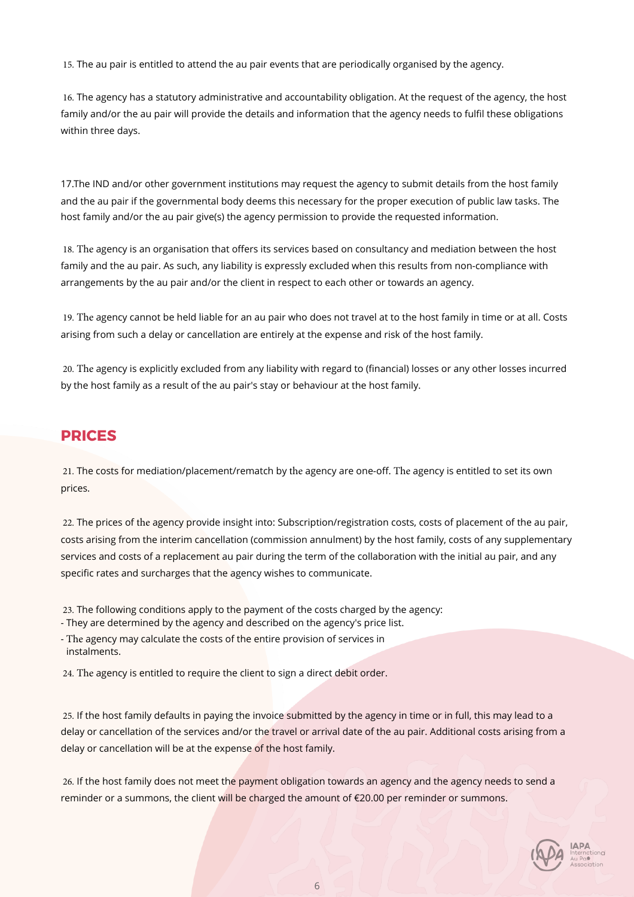15. The au pair is entitled to attend the au pair events that are periodically organised by the agency.

16. The agency has a statutory administrative and accountability obligation. At the request of the agency, the host family and/or the au pair will provide the details and information that the agency needs to fulfil these obligations within three days.

17.The IND and/or other government institutions may request the agency to submit details from the host family and the au pair if the governmental body deems this necessary for the proper execution of public law tasks. The host family and/or the au pair give(s) the agency permission to provide the requested information.

18. The agency is an organisation that offers its services based on consultancy and mediation between the host family and the au pair. As such, any liability is expressly excluded when this results from non-compliance with arrangements by the au pair and/or the client in respect to each other or towards an agency.

19. The agency cannot be held liable for an au pair who does not travel at to the host family in time or at all. Costs arising from such a delay or cancellation are entirely at the expense and risk of the host family.

20. The agency is explicitly excluded from any liability with regard to (financial) losses or any other losses incurred by the host family as a result of the au pair's stay or behaviour at the host family.

### **PRICES**

21. The costs for mediation/placement/rematch by the agency are one-off. The agency is entitled to set its own prices.

22. The prices of the agency provide insight into: Subscription/registration costs, costs of placement of the au pair, costs arising from the interim cancellation (commission annulment) by the host family, costs of any supplementary services and costs of a replacement au pair during the term of the collaboration with the initial au pair, and any specific rates and surcharges that the agency wishes to communicate.

23. The following conditions apply to the payment of the costs charged by the agency:

- They are determined by the agency and described on the agency's price list.

- The agency may calculate the costs of the entire provision of services in instalments.

24. The agency is entitled to require the client to sign a direct debit order.

25. If the host family defaults in paying the invoice submitted by the agency in time or in full, this may lead to a delay or cancellation of the services and/or the travel or arrival date of the au pair. Additional costs arising from a delay or cancellation will be at the expense of the host family.

26. If the host family does not meet the payment obligation towards an agency and the agency needs to send a reminder or a summons, the client will be charged the amount of €20.00 per reminder or summons.

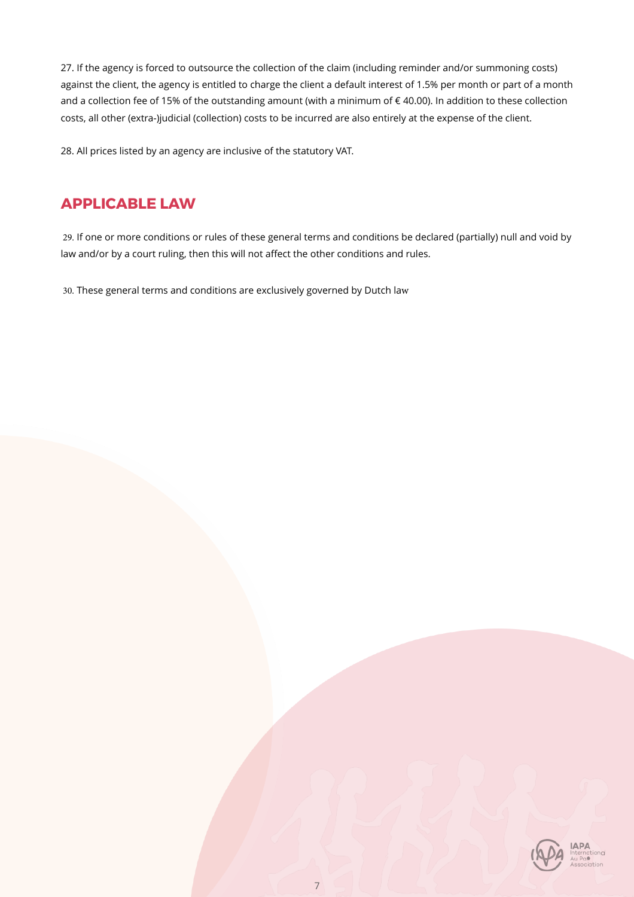27. If the agency is forced to outsource the collection of the claim (including reminder and/or summoning costs) against the client, the agency is entitled to charge the client a default interest of 1.5% per month or part of a month and a collection fee of 15% of the outstanding amount (with a minimum of € 40.00). In addition to these collection costs, all other (extra-)judicial (collection) costs to be incurred are also entirely at the expense of the client.

28. All prices listed by an agency are inclusive of the statutory VAT.

## **APPLICABLE LAW**

29. If one or more conditions or rules of these general terms and conditions be declared (partially) null and void by law and/or by a court ruling, then this will not affect the other conditions and rules.

30. These general terms and conditions are exclusively governed by Dutch law

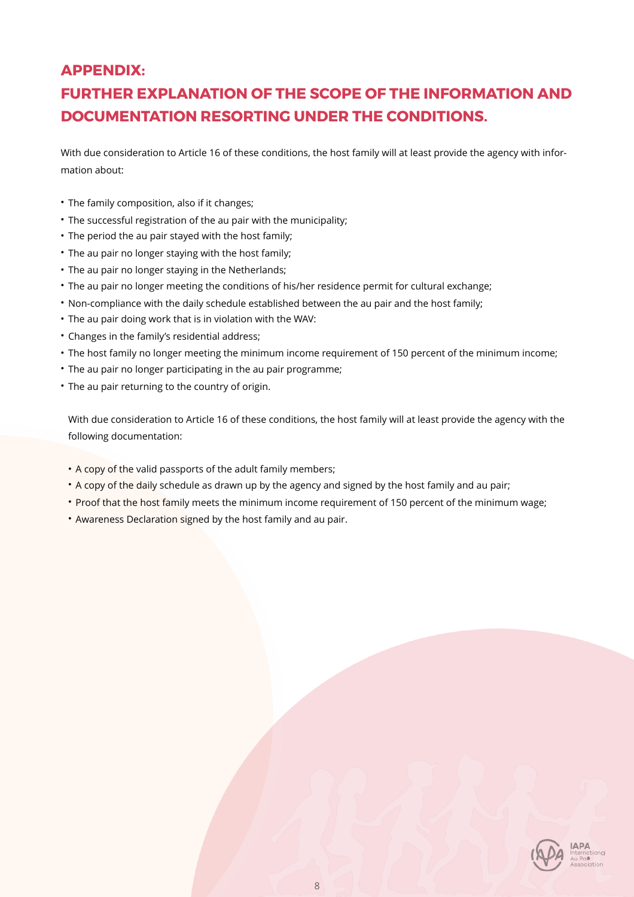## **APPENDIX:**

## **FURTHER EXPLANATION OF THE SCOPE OF THE INFORMATION AND DOCUMENTATION RESORTING UNDER THE CONDITIONS.**

With due consideration to Article 16 of these conditions, the host family will at least provide the agency with information about:

- The family composition, also if it changes;
- The successful registration of the au pair with the municipality;
- The period the au pair stayed with the host family;
- The au pair no longer staying with the host family;
- The au pair no longer staying in the Netherlands;
- The au pair no longer meeting the conditions of his/her residence permit for cultural exchange;
- Non-compliance with the daily schedule established between the au pair and the host family;
- The au pair doing work that is in violation with the WAV:
- Changes in the family's residential address;
- The host family no longer meeting the minimum income requirement of 150 percent of the minimum income;
- The au pair no longer participating in the au pair programme;
- The au pair returning to the country of origin.

With due consideration to Article 16 of these conditions, the host family will at least provide the agency with the following documentation:

- A copy of the valid passports of the adult family members;
- A copy of the daily schedule as drawn up by the agency and signed by the host family and au pair;
- Proof that the host family meets the minimum income requirement of 150 percent of the minimum wage;
- Awareness Declaration signed by the host family and au pair.

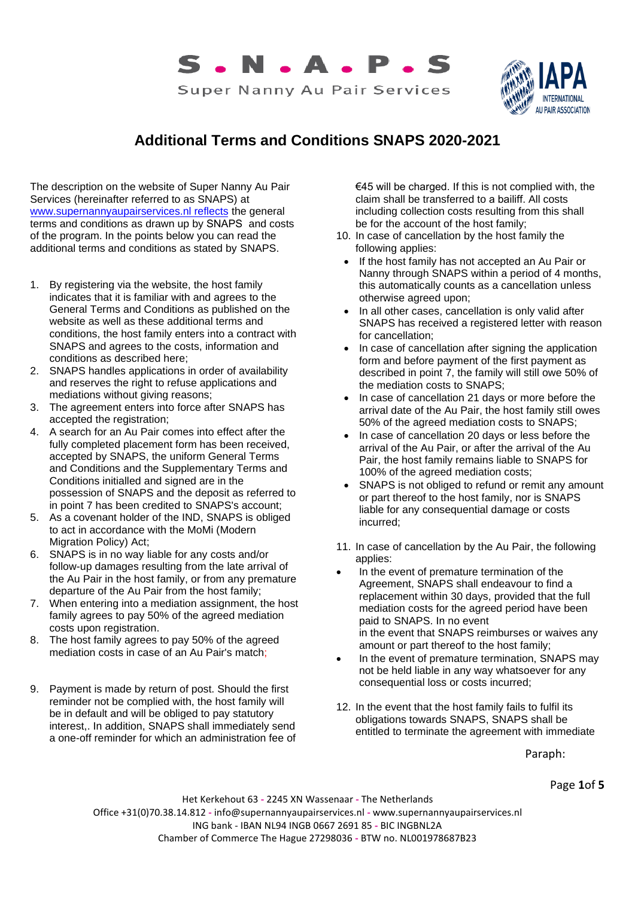



## **Additional Terms and Conditions SNAPS 2020-2021**

The description on the website of Super Nanny Au Pair Services (hereinafter referred to as SNAPS) at [www.supernannyaupairservices.nl reflects t](http://www.supernannyaupairservices.nl/)he general terms and conditions as drawn up by SNAPS and costs of the program. In the points below you can read the additional terms and conditions as stated by SNAPS.

- 1. By registering via the website, the host family indicates that it is familiar with and agrees to the General Terms and Conditions as published on the website as well as these additional terms and conditions, the host family enters into a contract with SNAPS and agrees to the costs, information and conditions as described here;
- 2. SNAPS handles applications in order of availability and reserves the right to refuse applications and mediations without giving reasons:
- 3. The agreement enters into force after SNAPS has accepted the registration;
- 4. A search for an Au Pair comes into effect after the fully completed placement form has been received, accepted by SNAPS, the uniform General Terms and Conditions and the Supplementary Terms and Conditions initialled and signed are in the possession of SNAPS and the deposit as referred to in point 7 has been credited to SNAPS's account;
- 5. As a covenant holder of the IND, SNAPS is obliged to act in accordance with the MoMi (Modern Migration Policy) Act;
- 6. SNAPS is in no way liable for any costs and/or follow-up damages resulting from the late arrival of the Au Pair in the host family, or from any premature departure of the Au Pair from the host family;
- 7. When entering into a mediation assignment, the host family agrees to pay 50% of the agreed mediation costs upon registration.
- 8. The host family agrees to pay 50% of the agreed mediation costs in case of an Au Pair's match;
- 9. Payment is made by return of post. Should the first reminder not be complied with, the host family will be in default and will be obliged to pay statutory interest,. In addition, SNAPS shall immediately send a one-off reminder for which an administration fee of

€45 will be charged. If this is not complied with, the claim shall be transferred to a bailiff. All costs including collection costs resulting from this shall be for the account of the host family;

- 10. In case of cancellation by the host family the following applies:
	- If the host family has not accepted an Au Pair or Nanny through SNAPS within a period of 4 months, this automatically counts as a cancellation unless otherwise agreed upon;
- In all other cases, cancellation is only valid after SNAPS has received a registered letter with reason for cancellation;
- In case of cancellation after signing the application form and before payment of the first payment as described in point 7, the family will still owe 50% of the mediation costs to SNAPS;
- In case of cancellation 21 days or more before the arrival date of the Au Pair, the host family still owes 50% of the agreed mediation costs to SNAPS;
- In case of cancellation 20 days or less before the arrival of the Au Pair, or after the arrival of the Au Pair, the host family remains liable to SNAPS for 100% of the agreed mediation costs;
- SNAPS is not obliged to refund or remit any amount or part thereof to the host family, nor is SNAPS liable for any consequential damage or costs incurred;
- 11. In case of cancellation by the Au Pair, the following applies:
- In the event of premature termination of the Agreement, SNAPS shall endeavour to find a replacement within 30 days, provided that the full mediation costs for the agreed period have been paid to SNAPS. In no event in the event that SNAPS reimburses or waives any amount or part thereof to the host family;
- In the event of premature termination, SNAPS may not be held liable in any way whatsoever for any consequential loss or costs incurred;
- 12. In the event that the host family fails to fulfil its obligations towards SNAPS, SNAPS shall be entitled to terminate the agreement with immediate

Paraph:

Page **1**of **5**

Het Kerkehout 63 **-** 2245 XN Wassenaar **-** The Netherlands Office +31(0)70.38.14.812 **-** info@supernannyaupairservices.nl **-** www.supernannyaupairservices.nl ING bank - IBAN NL94 INGB 0667 2691 85 **-** BIC INGBNL2A Chamber of Commerce The Hague 27298036 **-** BTW no. NL001978687B23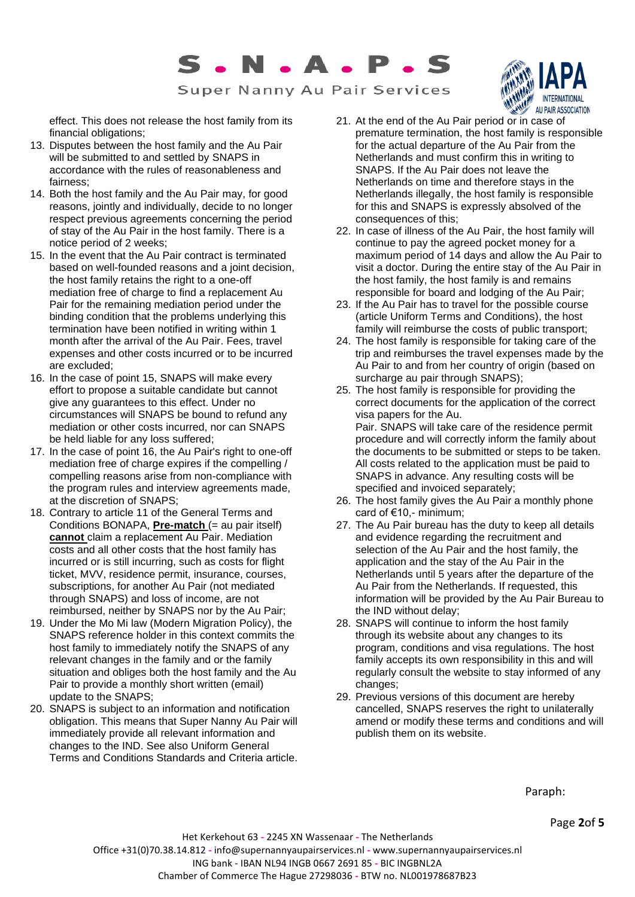

Super Nanny Au Pair Services

AU PAIR ASSOCIATION

effect. This does not release the host family from its financial obligations;

- 13. Disputes between the host family and the Au Pair will be submitted to and settled by SNAPS in accordance with the rules of reasonableness and fairness;
- 14. Both the host family and the Au Pair may, for good reasons, jointly and individually, decide to no longer respect previous agreements concerning the period of stay of the Au Pair in the host family. There is a notice period of 2 weeks;
- 15. In the event that the Au Pair contract is terminated based on well-founded reasons and a joint decision, the host family retains the right to a one-off mediation free of charge to find a replacement Au Pair for the remaining mediation period under the binding condition that the problems underlying this termination have been notified in writing within 1 month after the arrival of the Au Pair. Fees, travel expenses and other costs incurred or to be incurred are excluded;
- 16. In the case of point 15, SNAPS will make every effort to propose a suitable candidate but cannot give any guarantees to this effect. Under no circumstances will SNAPS be bound to refund any mediation or other costs incurred, nor can SNAPS be held liable for any loss suffered;
- 17. In the case of point 16, the Au Pair's right to one-off mediation free of charge expires if the compelling / compelling reasons arise from non-compliance with the program rules and interview agreements made, at the discretion of SNAPS;
- 18. Contrary to article 11 of the General Terms and Conditions BONAPA, **Pre-match** (= au pair itself) **cannot** claim a replacement Au Pair. Mediation costs and all other costs that the host family has incurred or is still incurring, such as costs for flight ticket, MVV, residence permit, insurance, courses, subscriptions, for another Au Pair (not mediated through SNAPS) and loss of income, are not reimbursed, neither by SNAPS nor by the Au Pair;
- 19. Under the Mo Mi law (Modern Migration Policy), the SNAPS reference holder in this context commits the host family to immediately notify the SNAPS of any relevant changes in the family and or the family situation and obliges both the host family and the Au Pair to provide a monthly short written (email) update to the SNAPS;
- 20. SNAPS is subject to an information and notification obligation. This means that Super Nanny Au Pair will immediately provide all relevant information and changes to the IND. See also Uniform General Terms and Conditions Standards and Criteria article.
- 21. At the end of the Au Pair period or in case of premature termination, the host family is responsible for the actual departure of the Au Pair from the Netherlands and must confirm this in writing to SNAPS. If the Au Pair does not leave the Netherlands on time and therefore stays in the Netherlands illegally, the host family is responsible for this and SNAPS is expressly absolved of the consequences of this;
- 22. In case of illness of the Au Pair, the host family will continue to pay the agreed pocket money for a maximum period of 14 days and allow the Au Pair to visit a doctor. During the entire stay of the Au Pair in the host family, the host family is and remains responsible for board and lodging of the Au Pair;
- 23. If the Au Pair has to travel for the possible course (article Uniform Terms and Conditions), the host family will reimburse the costs of public transport;
- 24. The host family is responsible for taking care of the trip and reimburses the travel expenses made by the Au Pair to and from her country of origin (based on surcharge au pair through SNAPS);
- 25. The host family is responsible for providing the correct documents for the application of the correct visa papers for the Au. Pair. SNAPS will take care of the residence permit procedure and will correctly inform the family about the documents to be submitted or steps to be taken. All costs related to the application must be paid to SNAPS in advance. Any resulting costs will be specified and invoiced separately;
- 26. The host family gives the Au Pair a monthly phone card of €10,- minimum;
- 27. The Au Pair bureau has the duty to keep all details and evidence regarding the recruitment and selection of the Au Pair and the host family, the application and the stay of the Au Pair in the Netherlands until 5 years after the departure of the Au Pair from the Netherlands. If requested, this information will be provided by the Au Pair Bureau to the IND without delay;
- 28. SNAPS will continue to inform the host family through its website about any changes to its program, conditions and visa regulations. The host family accepts its own responsibility in this and will regularly consult the website to stay informed of any changes;
- 29. Previous versions of this document are hereby cancelled, SNAPS reserves the right to unilaterally amend or modify these terms and conditions and will publish them on its website.

Paraph:

Page **2**of **5**

Het Kerkehout 63 **-** 2245 XN Wassenaar **-** The Netherlands Office +31(0)70.38.14.812 **-** info@supernannyaupairservices.nl **-** www.supernannyaupairservices.nl ING bank - IBAN NL94 INGB 0667 2691 85 **-** BIC INGBNL2A Chamber of Commerce The Hague 27298036 **-** BTW no. NL001978687B23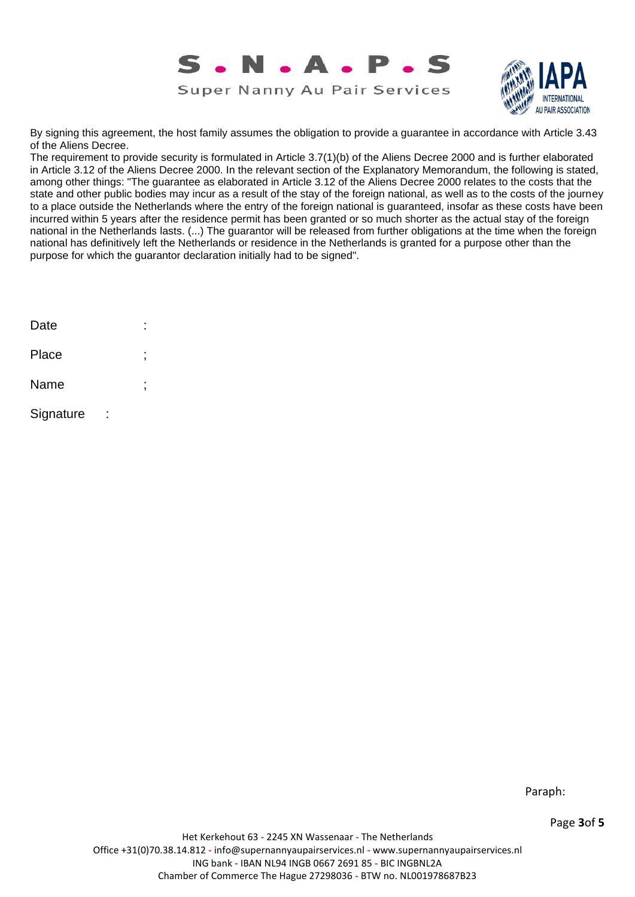



By signing this agreement, the host family assumes the obligation to provide a guarantee in accordance with Article 3.43 of the Aliens Decree.

The requirement to provide security is formulated in Article 3.7(1)(b) of the Aliens Decree 2000 and is further elaborated in Article 3.12 of the Aliens Decree 2000. In the relevant section of the Explanatory Memorandum, the following is stated, among other things: "The guarantee as elaborated in Article 3.12 of the Aliens Decree 2000 relates to the costs that the state and other public bodies may incur as a result of the stay of the foreign national, as well as to the costs of the journey to a place outside the Netherlands where the entry of the foreign national is guaranteed, insofar as these costs have been incurred within 5 years after the residence permit has been granted or so much shorter as the actual stay of the foreign national in the Netherlands lasts. (...) The guarantor will be released from further obligations at the time when the foreign national has definitively left the Netherlands or residence in the Netherlands is granted for a purpose other than the purpose for which the guarantor declaration initially had to be signed".

| Date      |   |
|-----------|---|
| Place     | , |
| Name      | , |
| Signature |   |

Paraph:

Page **3**of **5**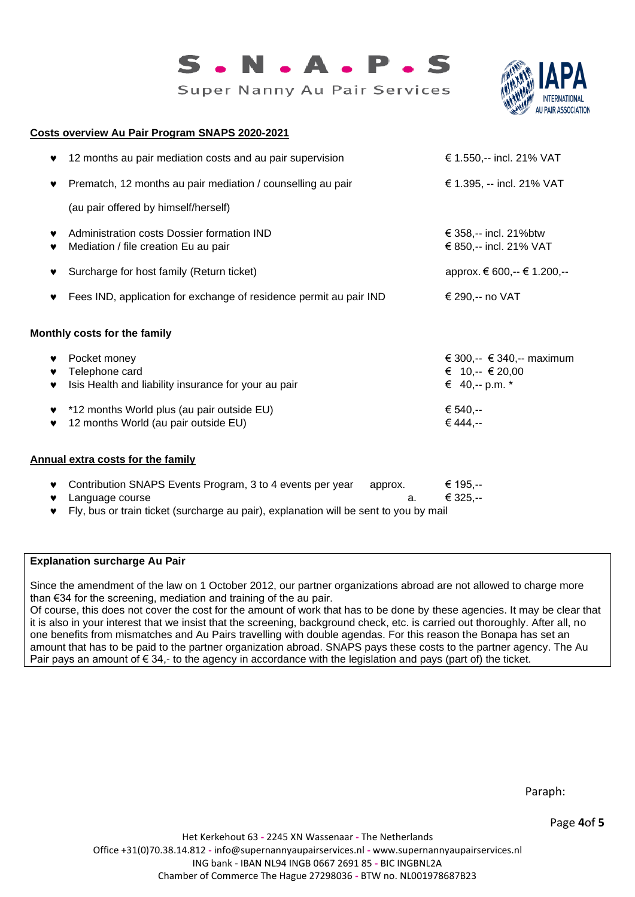

Super Nanny Au Pair Services



#### **Costs overview Au Pair Program SNAPS 2020-2021**

| 12 months au pair mediation costs and au pair supervision<br>♥                                                                                                                                        | € 1.550,-- incl. 21% VAT                                                                      |
|-------------------------------------------------------------------------------------------------------------------------------------------------------------------------------------------------------|-----------------------------------------------------------------------------------------------|
| Prematch, 12 months au pair mediation / counselling au pair<br>♥                                                                                                                                      | € 1.395, -- incl. 21% VAT                                                                     |
| (au pair offered by himself/herself)                                                                                                                                                                  |                                                                                               |
| Administration costs Dossier formation IND<br>Mediation / file creation Eu au pair                                                                                                                    | € 358,-- incl. 21%btw<br>€ 850,-- incl. 21% VAT                                               |
| Surcharge for host family (Return ticket)<br>♥                                                                                                                                                        | арргох. € 600,-- € 1.200,--                                                                   |
| Fees IND, application for exchange of residence permit au pair IND<br>♥                                                                                                                               | € 290,-- no VAT                                                                               |
| Monthly costs for the family                                                                                                                                                                          |                                                                                               |
| Pocket money<br>♥<br>Telephone card<br>♥<br>Isis Health and liability insurance for your au pair<br>♥<br>*12 months World plus (au pair outside EU)<br>♥<br>12 months World (au pair outside EU)<br>♥ | € 300,-- $\in$ 340,-- maximum<br>€ 10,-- € 20,00<br>€ 40, -- p.m. $*$<br>€ 540,--<br>€ 444,-- |
| <b>Annual extra costs for the family</b>                                                                                                                                                              |                                                                                               |
| Contribution SNAPS Events Program, 3 to 4 events per year<br>approx.<br>♥<br>Language course<br>a.<br>Fly, bus or train ticket (surcharge au pair), explanation will be sent to you by mail<br>v      | € 195,--<br>€ 325,--                                                                          |

### **Explanation surcharge Au Pair**

Since the amendment of the law on 1 October 2012, our partner organizations abroad are not allowed to charge more than €34 for the screening, mediation and training of the au pair.

Of course, this does not cover the cost for the amount of work that has to be done by these agencies. It may be clear that it is also in your interest that we insist that the screening, background check, etc. is carried out thoroughly. After all, no one benefits from mismatches and Au Pairs travelling with double agendas. For this reason the Bonapa has set an amount that has to be paid to the partner organization abroad. SNAPS pays these costs to the partner agency. The Au Pair pays an amount of € 34,- to the agency in accordance with the legislation and pays (part of) the ticket.

Page **4**of **5**